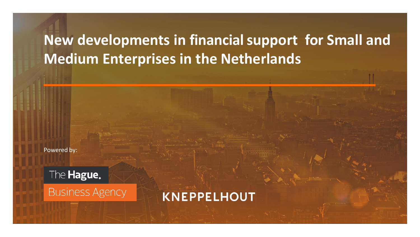# **New developments in financialsupport for Small and Medium Enterprises in the Netherlands**

Powered by:

The Hague. **Business Agency**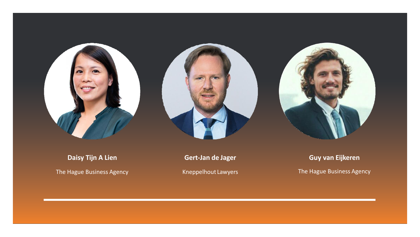





**Daisy Tijn A Lien**

The Hague Business Agency

#### **Gert-Jan de Jager**

Kneppelhout Lawyers

**Guy van Eijkeren**

The Hague Business Agency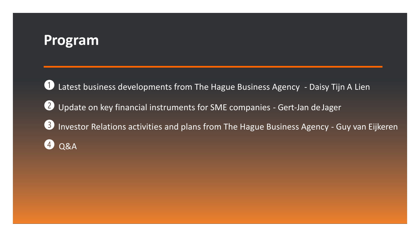## **Program**

*O* Latest business developments from The Hague Business Agency - Daisy Tijn A Lien ➋ Update on key financial instruments for SME companies - Gert-Jan deJager **B** Investor Relations activities and plans from The Hague Business Agency - Guy van Eijkeren ➍ Q&A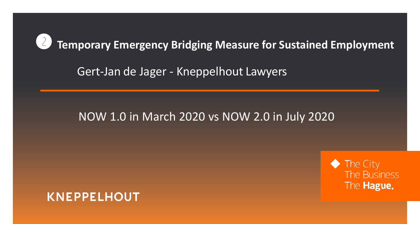

Gert-Jan de Jager - Kneppelhout Lawyers

#### NOW 1.0 in March 2020 vs NOW 2.0 in July 2020

The City The Business The Hague.

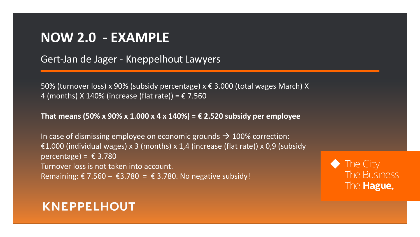## **NOW 2.0 - EXAMPLE**

Gert-Jan de Jager - Kneppelhout Lawyers

50% (turnover loss) x 90% (subsidy percentage) x € 3.000 (total wages March) X 4 (months) X 140% (increase (flat rate)) =  $\epsilon$  7.560

**That means (50% x 90% x 1.000 x 4 x 140%) = € 2.520 subsidy per employee**

In case of dismissing employee on economic grounds  $\rightarrow$  100% correction:  $\epsilon$ 1.000 (individual wages) x 3 (months) x 1,4 (increase (flat rate)) x 0,9 (subsidy percentage) =  $\epsilon$  3.780 Turnover loss is not taken into account. Remaining:  $\epsilon$  7.560 –  $\epsilon$ 3.780 =  $\epsilon$  3.780. No negative subsidy!

The City The Business The Hague.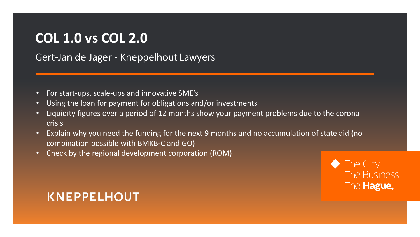## **COL 1.0 vs COL 2.0**

Gert-Jan de Jager - Kneppelhout Lawyers

- For start-ups, scale-ups and innovative SME's
- Using the loan for payment for obligations and/or investments
- Liquidity figures over a period of 12 months show your payment problems due to the corona crisis
- Explain why you need the funding for the next 9 months and no accumulation of state aid (no combination possible with BMKB-C and GO)
- Check by the regional development corporation (ROM)

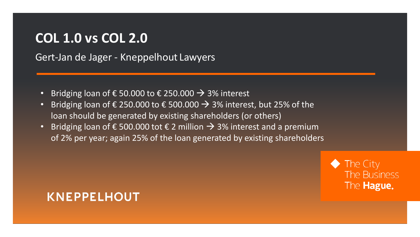## **COL 1.0 vs COL 2.0**

Gert-Jan de Jager - Kneppelhout Lawyers

- Bridging loan of  $\epsilon$  50.000 to  $\epsilon$  250.000  $\rightarrow$  3% interest
- Bridging loan of  $\epsilon$  250.000 to  $\epsilon$  500.000  $\rightarrow$  3% interest, but 25% of the loan should be generated by existing shareholders (or others)
- Bridging loan of  $\epsilon$  500.000 tot  $\epsilon$  2 million  $\rightarrow$  3% interest and a premium of 2% per year; again 25% of the loan generated by existing shareholders

The City The Business The Hague.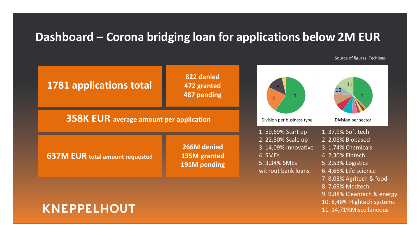#### **Dashboard – Corona bridging loan for applications below 2M EUR**

Source of figures: Techleap

11. 14,71%Miscellaneous

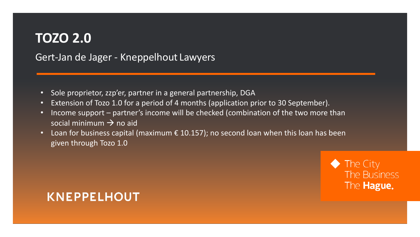## **TOZO 2.0**

Gert-Jan de Jager - Kneppelhout Lawyers

- Sole proprietor, zzp'er, partner in a general partnership, DGA
- Extension of Tozo 1.0 for a period of 4 months (application prior to 30 September).
- Income support partner's income will be checked (combination of the two more than social minimum  $\rightarrow$  no aid
- Loan for business capital (maximum  $\epsilon$  10.157); no second loan when this loan has been given through Tozo 1.0

The City The Business The Hague.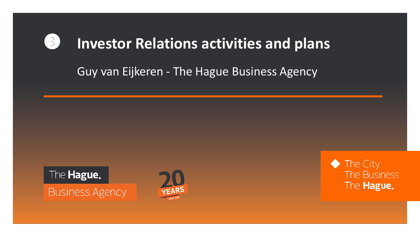# ➌ **Investor Relations activities and plans**

#### Guy van Eijkeren - The Hague Business Agency





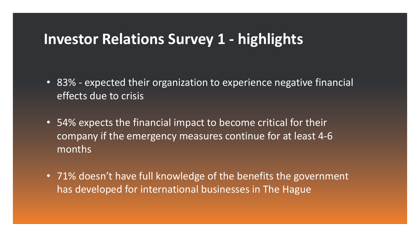# **Investor Relations Survey 1 - highlights**

- 83% expected their organization to experience negative financial effects due to crisis
- 54% expects the financial impact to become critical for their company if the emergency measures continue for at least 4-6 months
- 71% doesn't have full knowledge of the benefits the government has developed for international businesses in The Hague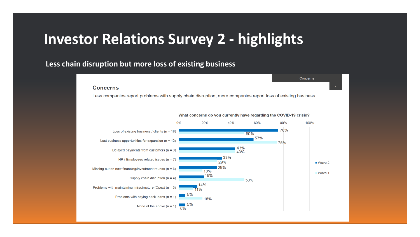# **Investor Relations Survey 2 - highlights**

#### **Less chain disruption but more loss of existing business**

#### **Concerns**

Less companies report problems with supply chain disruption, more companies report loss of existing business

Concerns

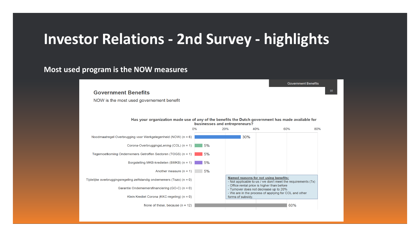## **Investor Relations - 2nd Survey - highlights**

#### **Most used program is the NOW measures**

#### **Government Benefits Government Benefits** NOW is the most used governement benefit Has your organization made use of any of the benefits the Dutch government has made available for businesses and entrepreneurs?  $0%$  $20%$ 40% 60% 80% Noodmaatregel Overbrugging voor Werkgelegenheid (NOW) (n = 6)  $30%$ Corona-OverbruggingsLening (COL)  $(n = 1)$  5% Tegemoetkoming Ondernemers Getroffen Sectoren (TOGS) (n = 1)  $5\%$ Borgstelling MKB-kredieten (BMKB) ( $n = 1$ ) 5% Another measure  $(n = 1)$  5% Named reasons for not using benefits: Tijdelijke overbruggingsregeling zelfstandig ondernemers (Tozo) ( $n = 0$ ) - Not applicable to us / we don't meet the requirements  $(7x)$ - Office rental price is higher than before Garantie Ondernemersfinanciering (GO-C) (n = 0) - Turnover does not decrease up to 20% - We are in the process of applying for COL and other Klein Krediet Corona (KKC-regeling) (n = 0) forms of subsidy. 60% None of these, because  $(n = 12)$